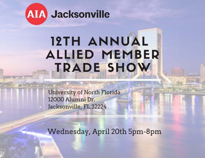

# **12TH ANNUAL ALLIED MEMBER** TRADE SHOW

**University of North Florida** 12000 Alumni Dr. Jacksonville, FL 32224

Wednesday, April 20th 5pm-8pm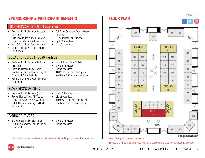### **SPONSORSHIP & PARTICIPANT BENEFITS**

#### TITLE SPONSOR: \$2,500 (1 Available)

- Premium Exhibit Location & Space (24' x 8') •
- Elite Recognition at Event, all Media, Digital Guidebook & AIA Website. •
- Host CEU on Event Date (pre-show) •
- Option to Brand All Goods Handed Out at Event •

#### GOLD SPONSOR: \$1,450 (6 Available)

- Preferred Exhibit Location & Space  $(16' \times 8')$
- Premium Recognition at Event Food or Bar Area, all Media, Digital Guidebook & AIA Website. •
- Full B&W Company Page in Digital Guidebook •
- 10 Additional Drink Tickets Up to 6 Attendees
- •

Guidebook

• •

Up to 8 Attendees • List of Attendees

List of Attendees **Note:** Co-Sponsors must pay an additional \$50 for equal exposure. •

• Full B&W Company Page in Digital

20 Additional Drink Tickets

#### SILVER SPONSOR: \$900

- Preferred Exhibit Location (8'x8') •
- Recognition at Event, All Media, Digital Guidebook & AIA Website. •
- Full B&W Company Page in Digital Guidebook •

- Up to 4 Attendees List of Attendees
- **Note:** Co-Sponsors must pay an additional \$50 for equal exposure.

#### PARTICIPANT: \$750

- Standard Exhibit Location (8'x8') •
- Half B&W Company Page in Digital Guidebook •
- Up to 2 Attendees •
- List of Attendees •

\*Note: Allied Members will receive reduced rates depending upon level of membership.

• •

**FLOOR PLAN**



#### \*Note: Floor plan is subject to change.

\*Sponsors & Allied Members receive priority based on the order of registrations received.



Follow Us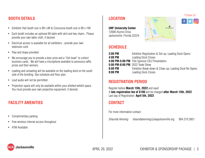#### **BOOTH DETAILS**

- Exhibitor Hall booth size is 8ft x 8ft & Concourse booth size is 8ft x 10ft •
- Each booth includes an optional 6ft table with skirt and two chairs. Please provide your own table cloth, if desired. •
- Electrical access is available for all exhibitors provide your own extension cord. •
- Pipe and drape provided.
- We encourage you to provide a door prize and a "fish bowl" to collect business cards. We will have a microphone available to announce raffle prizes and their winners.
- Loading and unloading will be available on the loading dock on the south side of the building. See schedule and floor plan.
- Loud audio will not be permitted.
- Projection space will only be available within your allotted exhibit space. You must provide your own projection equipment, if desired.

#### **FACILITY AMENITIES**

- Complimentary parking
- Free wireless internet access throughout •
- ATM Available •

## **LOCATION**

**UNF University Center**  12000 Alumni Drive Jacksonville, Florida 32224



## Follow Us

#### **SCHEDULE**

| 2:00 PM                         | Exhibitor Registration & Set-up; Loading Dock Opens    |
|---------------------------------|--------------------------------------------------------|
| 4:00 PM                         | <b>Loading Dock Closes</b>                             |
|                                 | 4:00 PM-5:00 PM Title Sponsor CEU Presentation         |
| 5:00 PM-8:00 PM 2022 Trade Show |                                                        |
| 8:00 PM                         | Exhibitor Break-down & Clean-up; Loading Dock Re-Opens |
| $9:00$ PM                       | <b>Loading Dock Closes</b>                             |

#### **REGISTRATION PERIOD**

Register before **March 15th, 2022** and save! A **late registration fee of \$100** will be charged **after March 15th, 2022**. Last day of Registration: **April 5th, 2022**

#### **CONTACT**

For more information contact:

*Shaunda Henning* shaundahenning@aiajacksonville.org 904.210.3851